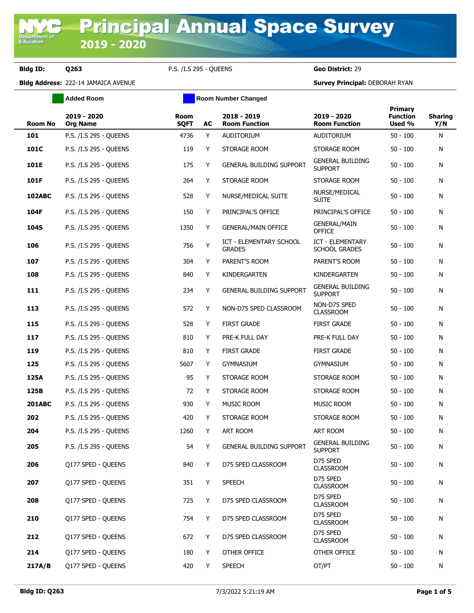Department<br>Education

**Bldg ID: Q263** P.S. /I.S 295 - QUEENS **Geo District:** 29

|                | <b>Added Room</b>              |                            |    | <b>Room Number Changed</b>               |                                           |                                             |                       |
|----------------|--------------------------------|----------------------------|----|------------------------------------------|-------------------------------------------|---------------------------------------------|-----------------------|
| <b>Room No</b> | 2019 - 2020<br><b>Org Name</b> | <b>Room</b><br><b>SQFT</b> | AC | 2018 - 2019<br><b>Room Function</b>      | 2019 - 2020<br><b>Room Function</b>       | <b>Primary</b><br><b>Function</b><br>Used % | <b>Sharing</b><br>Y/N |
| 101            | P.S. /I.S 295 - QUEENS         | 4736                       | Y  | <b>AUDITORIUM</b>                        | AUDITORIUM                                | $50 - 100$                                  | N                     |
| 101C           | P.S. /I.S 295 - QUEENS         | 119                        | Y  | STORAGE ROOM                             | STORAGE ROOM                              | $50 - 100$                                  | N                     |
| 101E           | P.S. /I.S 295 - QUEENS         | 175                        | Y  | <b>GENERAL BUILDING SUPPORT</b>          | <b>GENERAL BUILDING</b><br><b>SUPPORT</b> | $50 - 100$                                  | N                     |
| 101F           | P.S. /I.S 295 - QUEENS         | 264                        | Y  | STORAGE ROOM                             | STORAGE ROOM                              | $50 - 100$                                  | N                     |
| 102ABC         | P.S. /I.S 295 - QUEENS         | 528                        | Y  | NURSE/MEDICAL SUITE                      | NURSE/MEDICAL<br><b>SUITE</b>             | $50 - 100$                                  | N                     |
| 104F           | P.S. /I.S 295 - QUEENS         | 150                        | Y  | PRINCIPAL'S OFFICE                       | PRINCIPAL'S OFFICE                        | $50 - 100$                                  | N                     |
| 104S           | P.S. /I.S 295 - QUEENS         | 1350                       | Y  | <b>GENERAL/MAIN OFFICE</b>               | <b>GENERAL/MAIN</b><br><b>OFFICE</b>      | $50 - 100$                                  | N                     |
| 106            | P.S. /I.S 295 - QUEENS         | 756                        | Y  | ICT - ELEMENTARY SCHOOL<br><b>GRADES</b> | ICT - ELEMENTARY<br><b>SCHOOL GRADES</b>  | $50 - 100$                                  | N                     |
| 107            | P.S. /I.S 295 - QUEENS         | 304                        | Y  | PARENT'S ROOM                            | PARENT'S ROOM                             | $50 - 100$                                  | N                     |
| 108            | P.S. /I.S 295 - QUEENS         | 840                        | Y  | KINDERGARTEN                             | KINDERGARTEN                              | $50 - 100$                                  | N                     |
| 111            | P.S. /I.S 295 - OUEENS         | 234                        | Y  | <b>GENERAL BUILDING SUPPORT</b>          | <b>GENERAL BUILDING</b><br><b>SUPPORT</b> | $50 - 100$                                  | N                     |
| 113            | P.S. /I.S 295 - QUEENS         | 572                        | Y  | NON-D75 SPED CLASSROOM                   | NON-D75 SPED<br><b>CLASSROOM</b>          | $50 - 100$                                  | N                     |
| 115            | P.S. /I.S 295 - QUEENS         | 528                        | Y  | <b>FIRST GRADE</b>                       | <b>FIRST GRADE</b>                        | $50 - 100$                                  | N                     |
| 117            | P.S. /I.S 295 - QUEENS         | 810                        | Y  | PRE-K FULL DAY                           | PRE-K FULL DAY                            | $50 - 100$                                  | N                     |
| 119            | P.S. /I.S 295 - QUEENS         | 810                        | Y  | <b>FIRST GRADE</b>                       | <b>FIRST GRADE</b>                        | $50 - 100$                                  | N                     |
| 125            | P.S. /I.S 295 - QUEENS         | 5607                       | Y  | <b>GYMNASIUM</b>                         | <b>GYMNASIUM</b>                          | $50 - 100$                                  | N                     |
| 125A           | P.S. /I.S 295 - QUEENS         | 95                         | Y  | STORAGE ROOM                             | STORAGE ROOM                              | $50 - 100$                                  | N                     |
| 125B           | P.S. /I.S 295 - QUEENS         | 72                         | Y  | STORAGE ROOM                             | STORAGE ROOM                              | $50 - 100$                                  | N                     |
| <b>201ABC</b>  | P.S. /I.S 295 - QUEENS         | 930                        | Y  | MUSIC ROOM                               | <b>MUSIC ROOM</b>                         | $50 - 100$                                  | N                     |
| 202            | P.S. /I.S 295 - OUEENS         | 420                        | Y  | STORAGE ROOM                             | STORAGE ROOM                              | $50 - 100$                                  | N                     |
| 204            | P.S. /I.S 295 - OUEENS         | 1260                       | Y  | <b>ART ROOM</b>                          | ART ROOM                                  | $50 - 100$                                  | N                     |
| 205            | P.S. /I.S 295 - QUEENS         | 54                         | Y  | <b>GENERAL BUILDING SUPPORT</b>          | <b>GENERAL BUILDING</b><br><b>SUPPORT</b> | $50 - 100$                                  | N                     |
| 206            | Q177 SPED - QUEENS             | 840                        | Y  | D75 SPED CLASSROOM                       | D75 SPED<br><b>CLASSROOM</b>              | $50 - 100$                                  | N                     |
| 207            | Q177 SPED - QUEENS             | 351                        | Y  | <b>SPEECH</b>                            | D75 SPED<br><b>CLASSROOM</b>              | $50 - 100$                                  | N                     |
| 208            | Q177 SPED - QUEENS             | 725                        | Y  | D75 SPED CLASSROOM                       | D75 SPED<br><b>CLASSROOM</b>              | $50 - 100$                                  | N                     |
| 210            | Q177 SPED - QUEENS             | 754                        | Y  | D75 SPED CLASSROOM                       | D75 SPED<br><b>CLASSROOM</b>              | $50 - 100$                                  | N                     |
| 212            | Q177 SPED - QUEENS             | 672                        | Y  | D75 SPED CLASSROOM                       | D75 SPED<br><b>CLASSROOM</b>              | $50 - 100$                                  | N                     |
| 214            | Q177 SPED - QUEENS             | 180                        | Y  | OTHER OFFICE                             | OTHER OFFICE                              | $50 - 100$                                  | N                     |
| 217A/B         | Q177 SPED - QUEENS             | 420                        | Y  | <b>SPEECH</b>                            | OT/PT                                     | $50 - 100$                                  | N                     |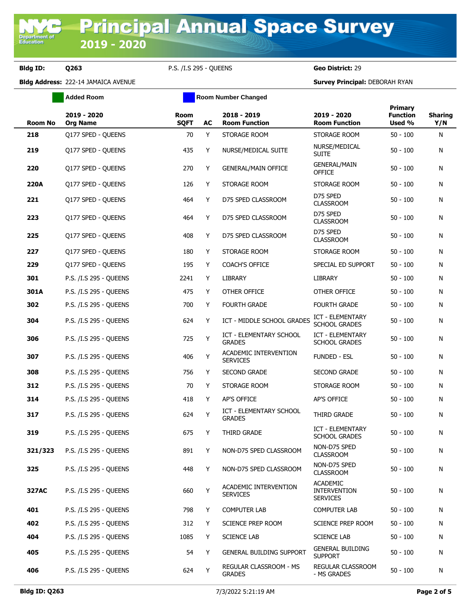**Bldg ID: Q263** P.S. /I.S 295 - QUEENS **Geo District:** 29

**Added Room Room Room Number Changed** 

|       | <b>Room No</b> | 2019 - 2020<br><b>Org Name</b> | <b>Room</b><br><b>SQFT</b> | AC | 2018 - 2019<br><b>Room Function</b>             | 2019 - 2020<br><b>Room Function</b>                       | <b>Primary</b><br><b>Function</b><br>Used % | <b>Sharing</b><br>Y/N |
|-------|----------------|--------------------------------|----------------------------|----|-------------------------------------------------|-----------------------------------------------------------|---------------------------------------------|-----------------------|
| 218   |                | Q177 SPED - QUEENS             | 70                         | Y  | STORAGE ROOM                                    | STORAGE ROOM                                              | $50 - 100$                                  | N                     |
| 219   |                | Q177 SPED - QUEENS             | 435                        | Y  | NURSE/MEDICAL SUITE                             | NURSE/MEDICAL<br><b>SUITE</b>                             | $50 - 100$                                  | N                     |
| 220   |                | Q177 SPED - QUEENS             | 270                        | Y  | <b>GENERAL/MAIN OFFICE</b>                      | <b>GENERAL/MAIN</b><br><b>OFFICE</b>                      | $50 - 100$                                  | N                     |
| 220A  |                | Q177 SPED - QUEENS             | 126                        | Y  | STORAGE ROOM                                    | STORAGE ROOM                                              | $50 - 100$                                  | N                     |
| 221   |                | Q177 SPED - QUEENS             | 464                        | Y  | D75 SPED CLASSROOM                              | D75 SPED<br><b>CLASSROOM</b>                              | $50 - 100$                                  | N                     |
| 223   |                | Q177 SPED - QUEENS             | 464                        | Y  | D75 SPED CLASSROOM                              | D75 SPED<br><b>CLASSROOM</b>                              | $50 - 100$                                  | N                     |
| 225   |                | Q177 SPED - QUEENS             | 408                        | Y  | D75 SPED CLASSROOM                              | D75 SPED<br><b>CLASSROOM</b>                              | $50 - 100$                                  | N                     |
| 227   |                | Q177 SPED - QUEENS             | 180                        | Y  | STORAGE ROOM                                    | STORAGE ROOM                                              | $50 - 100$                                  | N                     |
| 229   |                | Q177 SPED - QUEENS             | 195                        | Y  | <b>COACH'S OFFICE</b>                           | SPECIAL ED SUPPORT                                        | $50 - 100$                                  | N                     |
| 301   |                | P.S. /I.S 295 - QUEENS         | 2241                       | Y  | LIBRARY                                         | <b>LIBRARY</b>                                            | $50 - 100$                                  | N                     |
| 301A  |                | P.S. /I.S 295 - QUEENS         | 475                        | Y  | OTHER OFFICE                                    | OTHER OFFICE                                              | $50 - 100$                                  | N                     |
| 302   |                | P.S. /I.S 295 - QUEENS         | 700                        | Y  | <b>FOURTH GRADE</b>                             | <b>FOURTH GRADE</b>                                       | $50 - 100$                                  | N                     |
| 304   |                | P.S. /I.S 295 - QUEENS         | 624                        | Y  | ICT - MIDDLE SCHOOL GRADES                      | ICT - ELEMENTARY<br><b>SCHOOL GRADES</b>                  | $50 - 100$                                  | N                     |
| 306   |                | P.S. /I.S 295 - QUEENS         | 725                        | Υ  | <b>ICT - ELEMENTARY SCHOOL</b><br><b>GRADES</b> | ICT - ELEMENTARY<br><b>SCHOOL GRADES</b>                  | $50 - 100$                                  | N                     |
| 307   |                | P.S. /I.S 295 - QUEENS         | 406                        | Υ  | ACADEMIC INTERVENTION<br><b>SERVICES</b>        | <b>FUNDED - ESL</b>                                       | $50 - 100$                                  | N                     |
| 308   |                | P.S. /I.S 295 - QUEENS         | 756                        | Y  | <b>SECOND GRADE</b>                             | <b>SECOND GRADE</b>                                       | $50 - 100$                                  | N                     |
| 312   |                | P.S. /I.S 295 - QUEENS         | 70                         | Y  | STORAGE ROOM                                    | STORAGE ROOM                                              | $50 - 100$                                  | N                     |
| 314   |                | P.S. /I.S 295 - QUEENS         | 418                        | Y  | <b>AP'S OFFICE</b>                              | AP'S OFFICE                                               | $50 - 100$                                  | N                     |
| 317   |                | P.S. /I.S 295 - QUEENS         | 624                        | Y  | ICT - ELEMENTARY SCHOOL<br><b>GRADES</b>        | THIRD GRADE                                               | $50 - 100$                                  | N                     |
| 319   |                | P.S. /I.S 295 - OUEENS         | 675                        | Y  | THIRD GRADE                                     | ICT - ELEMENTARY<br><b>SCHOOL GRADES</b>                  | $50 - 100$                                  | N                     |
|       | 321/323        | P.S. /I.S 295 - QUEENS         | 891                        | Y  | NON-D75 SPED CLASSROOM                          | NON-D75 SPED<br><b>CLASSROOM</b>                          | $50 - 100$                                  | N                     |
| 325   |                | P.S. /I.S 295 - QUEENS         | 448                        | Y  | NON-D75 SPED CLASSROOM                          | NON-D75 SPED<br><b>CLASSROOM</b>                          | $50 - 100$                                  | N                     |
| 327AC |                | P.S. /I.S 295 - OUEENS         | 660                        | Y  | ACADEMIC INTERVENTION<br><b>SERVICES</b>        | <b>ACADEMIC</b><br><b>INTERVENTION</b><br><b>SERVICES</b> | $50 - 100$                                  | N                     |
| 401   |                | P.S. /I.S 295 - QUEENS         | 798                        | Y  | <b>COMPUTER LAB</b>                             | <b>COMPUTER LAB</b>                                       | $50 - 100$                                  | N                     |
| 402   |                | P.S. /I.S 295 - QUEENS         | 312                        | Y  | <b>SCIENCE PREP ROOM</b>                        | <b>SCIENCE PREP ROOM</b>                                  | $50 - 100$                                  | N                     |
| 404   |                | P.S. /I.S 295 - QUEENS         | 1085                       | Y  | <b>SCIENCE LAB</b>                              | <b>SCIENCE LAB</b>                                        | $50 - 100$                                  | N                     |
| 405   |                | P.S. /I.S 295 - QUEENS         | 54                         | Y  | <b>GENERAL BUILDING SUPPORT</b>                 | <b>GENERAL BUILDING</b><br><b>SUPPORT</b>                 | $50 - 100$                                  | N                     |
| 406   |                | P.S. /I.S 295 - QUEENS         | 624                        | Υ  | REGULAR CLASSROOM - MS<br><b>GRADES</b>         | REGULAR CLASSROOM<br>- MS GRADES                          | $50 - 100$                                  | N                     |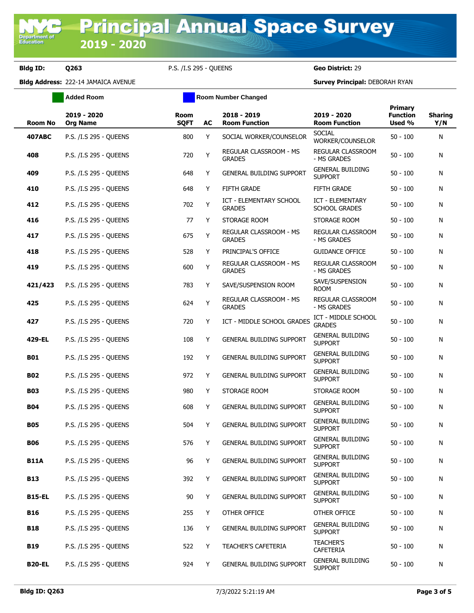**Bldg ID: Q263** P.S. /I.S 295 - QUEENS **Geo District:** 29

**Added Room Room Room Number Changed** 

| <b>Room No</b> | 2019 - 2020<br><b>Org Name</b> | <b>Room</b><br><b>SQFT</b> | AC | 2018 - 2019<br><b>Room Function</b>             | 2019 - 2020<br><b>Room Function</b>             | Primary<br><b>Function</b><br>Used % | <b>Sharing</b><br>Y/N |
|----------------|--------------------------------|----------------------------|----|-------------------------------------------------|-------------------------------------------------|--------------------------------------|-----------------------|
| <b>407ABC</b>  | P.S. /I.S 295 - QUEENS         | 800                        | Y  | SOCIAL WORKER/COUNSELOR                         | <b>SOCIAL</b><br>WORKER/COUNSELOR               | $50 - 100$                           | N                     |
| 408            | P.S. /I.S 295 - OUEENS         | 720                        | Y  | REGULAR CLASSROOM - MS<br><b>GRADES</b>         | REGULAR CLASSROOM<br>- MS GRADES                | $50 - 100$                           | N                     |
| 409            | P.S. /I.S 295 - QUEENS         | 648                        | Y  | <b>GENERAL BUILDING SUPPORT</b>                 | <b>GENERAL BUILDING</b><br>Support              | 50 - 100                             | N                     |
| 410            | P.S. /I.S 295 - QUEENS         | 648                        | Y  | <b>FIFTH GRADE</b>                              | <b>FIFTH GRADE</b>                              | 50 - 100                             | N                     |
| 412            | P.S. /I.S 295 - QUEENS         | 702                        | Υ  | <b>ICT - ELEMENTARY SCHOOL</b><br><b>GRADES</b> | <b>ICT - ELEMENTARY</b><br><b>SCHOOL GRADES</b> | $50 - 100$                           | N                     |
| 416            | P.S. /I.S 295 - QUEENS         | 77                         | Y  | STORAGE ROOM                                    | STORAGE ROOM                                    | $50 - 100$                           | N                     |
| 417            | P.S. /I.S 295 - QUEENS         | 675                        | Y  | REGULAR CLASSROOM - MS<br><b>GRADES</b>         | REGULAR CLASSROOM<br>- MS GRADES                | $50 - 100$                           | N                     |
| 418            | P.S. /I.S 295 - QUEENS         | 528                        | Y  | PRINCIPAL'S OFFICE                              | <b>GUIDANCE OFFICE</b>                          | $50 - 100$                           | N                     |
| 419            | P.S. /I.S 295 - QUEENS         | 600                        | Y  | REGULAR CLASSROOM - MS<br><b>GRADES</b>         | <b>REGULAR CLASSROOM</b><br>- MS GRADES         | $50 - 100$                           | N                     |
| 421/423        | P.S. /I.S 295 - OUEENS         | 783                        | Y  | SAVE/SUSPENSION ROOM                            | SAVE/SUSPENSION<br><b>ROOM</b>                  | $50 - 100$                           | N                     |
| 425            | P.S. /I.S 295 - QUEENS         | 624                        | Υ  | REGULAR CLASSROOM - MS<br><b>GRADES</b>         | REGULAR CLASSROOM<br>- MS GRADES                | 50 - 100                             | N                     |
| 427            | P.S. /I.S 295 - QUEENS         | 720                        | Y  | ICT - MIDDLE SCHOOL GRADES                      | ICT - MIDDLE SCHOOL<br><b>GRADES</b>            | $50 - 100$                           | N                     |
| 429-EL         | P.S. /I.S 295 - QUEENS         | 108                        | Y  | GENERAL BUILDING SUPPORT                        | <b>GENERAL BUILDING</b><br><b>SUPPORT</b>       | 50 - 100                             | N                     |
| <b>B01</b>     | P.S. /I.S 295 - QUEENS         | 192                        | Y  | <b>GENERAL BUILDING SUPPORT</b>                 | <b>GENERAL BUILDING</b><br><b>SUPPORT</b>       | $50 - 100$                           | N                     |
| <b>B02</b>     | P.S. /I.S 295 - QUEENS         | 972                        | Y  | <b>GENERAL BUILDING SUPPORT</b>                 | <b>GENERAL BUILDING</b><br><b>SUPPORT</b>       | 50 - 100                             | N                     |
| <b>B03</b>     | P.S. /I.S 295 - QUEENS         | 980                        | Y  | STORAGE ROOM                                    | STORAGE ROOM                                    | $50 - 100$                           | N                     |
| <b>B04</b>     | P.S. /I.S 295 - OUEENS         | 608                        | Y  | <b>GENERAL BUILDING SUPPORT</b>                 | <b>GENERAL BUILDING</b><br><b>SUPPORT</b>       | 50 - 100                             | N                     |
| <b>B05</b>     | P.S. /I.S 295 - QUEENS         | 504                        | Y  | GENERAL BUILDING SUPPORT                        | <b>GENERAL BUILDING</b><br><b>SUPPORT</b>       | $50 - 100$                           | N                     |
| <b>B06</b>     | P.S. /I.S 295 - QUEENS         | 576                        | Y  | <b>GENERAL BUILDING SUPPORT</b>                 | <b>GENERAL BUILDING</b><br><b>SUPPORT</b>       | 50 - 100                             | N                     |
| <b>B11A</b>    | P.S. /I.S 295 - OUEENS         | 96                         | Y  | <b>GENERAL BUILDING SUPPORT</b>                 | <b>GENERAL BUILDING</b><br><b>SUPPORT</b>       | $50 - 100$                           | N                     |
| <b>B13</b>     | P.S. /I.S 295 - QUEENS         | 392                        | Y  | GENERAL BUILDING SUPPORT                        | <b>GENERAL BUILDING</b><br><b>SUPPORT</b>       | $50 - 100$                           | N                     |
| <b>B15-EL</b>  | P.S. /I.S 295 - QUEENS         | 90                         | Y  | GENERAL BUILDING SUPPORT                        | <b>GENERAL BUILDING</b><br><b>SUPPORT</b>       | $50 - 100$                           | N                     |
| <b>B16</b>     | P.S. /I.S 295 - QUEENS         | 255                        | Y  | OTHER OFFICE                                    | OTHER OFFICE                                    | $50 - 100$                           | N                     |
| <b>B18</b>     | P.S. /I.S 295 - QUEENS         | 136                        | Y  | <b>GENERAL BUILDING SUPPORT</b>                 | <b>GENERAL BUILDING</b><br><b>SUPPORT</b>       | $50 - 100$                           | N                     |
| <b>B19</b>     | P.S. /I.S 295 - QUEENS         | 522                        | Y  | TEACHER'S CAFETERIA                             | <b>TEACHER'S</b><br>CAFETERIA                   | $50 - 100$                           | N                     |
| <b>B20-EL</b>  | P.S. /I.S 295 - QUEENS         | 924                        | Y  | <b>GENERAL BUILDING SUPPORT</b>                 | <b>GENERAL BUILDING</b><br><b>SUPPORT</b>       | $50 - 100$                           | N                     |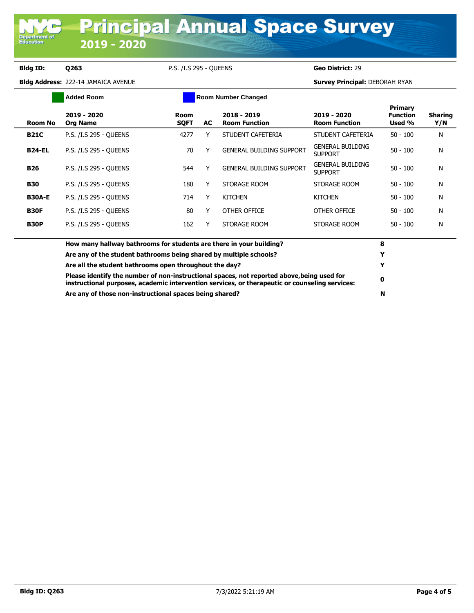**Department o**<br>Education

**Bldg ID: Q263** P.S. /I.S 295 - QUEENS **Geo District:** 29

|                | <b>Added Room</b>                                                                                                                                                                            | <b>Room Number Changed</b> |    |                                       |                                           |                                             |                       |
|----------------|----------------------------------------------------------------------------------------------------------------------------------------------------------------------------------------------|----------------------------|----|---------------------------------------|-------------------------------------------|---------------------------------------------|-----------------------|
| <b>Room No</b> | 2019 - 2020<br><b>Org Name</b>                                                                                                                                                               | Room<br><b>SQFT</b>        | AC | $2018 - 2019$<br><b>Room Function</b> | 2019 - 2020<br><b>Room Function</b>       | <b>Primary</b><br><b>Function</b><br>Used % | <b>Sharing</b><br>Y/N |
| <b>B21C</b>    | P.S. /I.S 295 - QUEENS                                                                                                                                                                       | 4277                       | Y  | STUDENT CAFETERIA                     | STUDENT CAFETERIA                         | $50 - 100$                                  | N                     |
| <b>B24-EL</b>  | P.S. /I.S 295 - OUEENS                                                                                                                                                                       | 70                         |    | <b>GENERAL BUILDING SUPPORT</b>       | <b>GENERAL BUILDING</b><br><b>SUPPORT</b> | $50 - 100$                                  | N                     |
| <b>B26</b>     | P.S. /I.S 295 - OUEENS                                                                                                                                                                       | 544                        | Y  | <b>GENERAL BUILDING SUPPORT</b>       | <b>GENERAL BUILDING</b><br><b>SUPPORT</b> | $50 - 100$                                  | N                     |
| <b>B30</b>     | P.S. /I.S 295 - OUEENS                                                                                                                                                                       | 180                        | Y  | STORAGE ROOM                          | STORAGE ROOM                              | $50 - 100$                                  | N                     |
| <b>B30A-E</b>  | P.S. /I.S 295 - OUEENS                                                                                                                                                                       | 714                        | Y  | <b>KITCHEN</b>                        | <b>KITCHEN</b>                            | $50 - 100$                                  | N                     |
| <b>B30F</b>    | P.S. /I.S 295 - OUEENS                                                                                                                                                                       | 80                         | Y  | OTHER OFFICE                          | OTHER OFFICE                              | $50 - 100$                                  | N                     |
| <b>B30P</b>    | P.S. /I.S 295 - OUEENS                                                                                                                                                                       | 162                        | Y  | STORAGE ROOM                          | STORAGE ROOM                              | $50 - 100$                                  | N                     |
|                | How many hallway bathrooms for students are there in your building?                                                                                                                          |                            |    |                                       |                                           | 8                                           |                       |
|                | Are any of the student bathrooms being shared by multiple schools?                                                                                                                           |                            |    |                                       |                                           | Y                                           |                       |
|                | Are all the student bathrooms open throughout the day?                                                                                                                                       |                            |    |                                       |                                           | Y                                           |                       |
|                | Please identify the number of non-instructional spaces, not reported above, being used for<br>instructional purposes, academic intervention services, or therapeutic or counseling services: |                            |    |                                       |                                           |                                             |                       |
|                | Are any of those non-instructional spaces being shared?                                                                                                                                      |                            |    |                                       |                                           |                                             |                       |